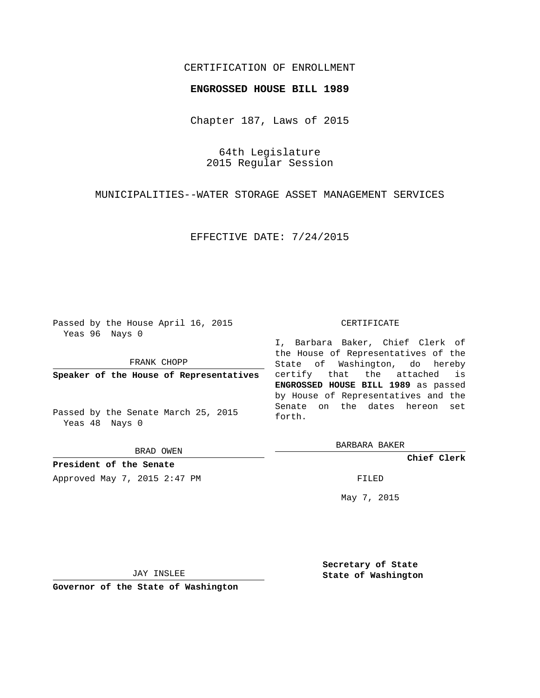## CERTIFICATION OF ENROLLMENT

## **ENGROSSED HOUSE BILL 1989**

Chapter 187, Laws of 2015

64th Legislature 2015 Regular Session

MUNICIPALITIES--WATER STORAGE ASSET MANAGEMENT SERVICES

EFFECTIVE DATE: 7/24/2015

Passed by the House April 16, 2015 Yeas 96 Nays 0

FRANK CHOPP

**Speaker of the House of Representatives**

Passed by the Senate March 25, 2015 Yeas 48 Nays 0

BRAD OWEN

**President of the Senate**

Approved May 7, 2015 2:47 PM FILED

#### CERTIFICATE

I, Barbara Baker, Chief Clerk of the House of Representatives of the State of Washington, do hereby certify that the attached is **ENGROSSED HOUSE BILL 1989** as passed by House of Representatives and the Senate on the dates hereon set forth.

BARBARA BAKER

**Chief Clerk**

May 7, 2015

JAY INSLEE

**Governor of the State of Washington**

**Secretary of State State of Washington**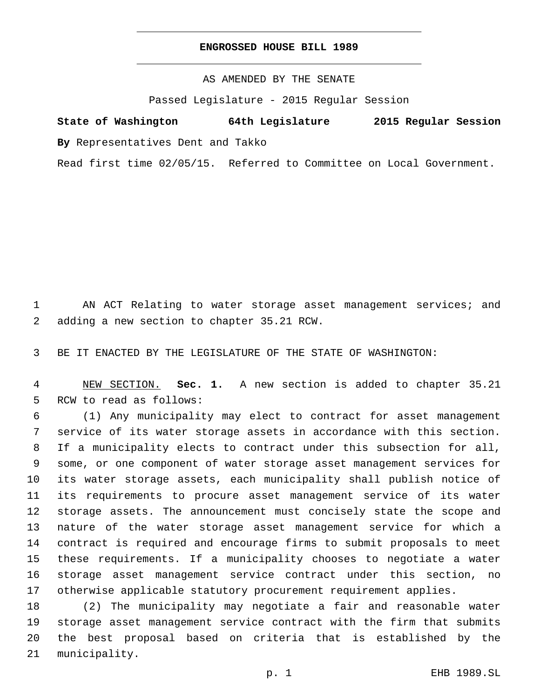## **ENGROSSED HOUSE BILL 1989**

AS AMENDED BY THE SENATE

Passed Legislature - 2015 Regular Session

# **State of Washington 64th Legislature 2015 Regular Session**

**By** Representatives Dent and Takko

Read first time 02/05/15. Referred to Committee on Local Government.

 AN ACT Relating to water storage asset management services; and 2 adding a new section to chapter 35.21 RCW.

BE IT ENACTED BY THE LEGISLATURE OF THE STATE OF WASHINGTON:

 NEW SECTION. **Sec. 1.** A new section is added to chapter 35.21 5 RCW to read as follows:

 (1) Any municipality may elect to contract for asset management service of its water storage assets in accordance with this section. If a municipality elects to contract under this subsection for all, some, or one component of water storage asset management services for its water storage assets, each municipality shall publish notice of its requirements to procure asset management service of its water storage assets. The announcement must concisely state the scope and nature of the water storage asset management service for which a contract is required and encourage firms to submit proposals to meet these requirements. If a municipality chooses to negotiate a water storage asset management service contract under this section, no otherwise applicable statutory procurement requirement applies.

 (2) The municipality may negotiate a fair and reasonable water storage asset management service contract with the firm that submits the best proposal based on criteria that is established by the 21 municipality.